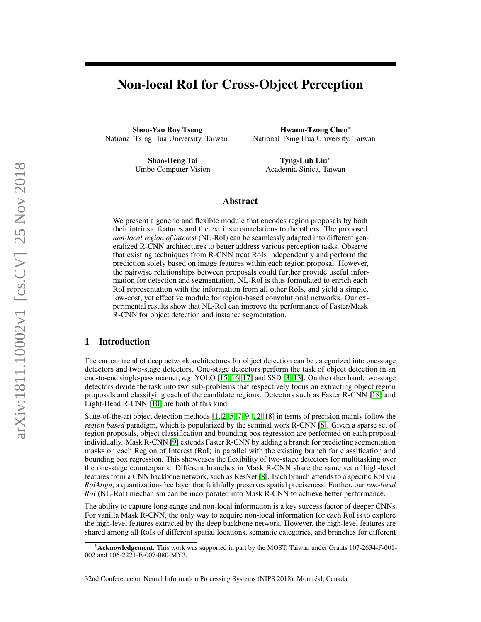# Non-local RoI for Cross-Object Perception

Shou-Yao Roy Tseng National Tsing Hua University, Taiwan

Hwann-Tzong Chen<sup>∗</sup> National Tsing Hua University, Taiwan

Shao-Heng Tai Umbo Computer Vision

Tyng-Luh Liu<sup>∗</sup> Academia Sinica, Taiwan

#### Abstract

We present a generic and flexible module that encodes region proposals by both their intrinsic features and the extrinsic correlations to the others. The proposed *non-local region of interest* (NL-RoI) can be seamlessly adapted into different generalized R-CNN architectures to better address various perception tasks. Observe that existing techniques from R-CNN treat RoIs independently and perform the prediction solely based on image features within each region proposal. However, the pairwise relationships between proposals could further provide useful information for detection and segmentation. NL-RoI is thus formulated to enrich each RoI representation with the information from all other RoIs, and yield a simple, low-cost, yet effective module for region-based convolutional networks. Our experimental results show that NL-RoI can improve the performance of Faster/Mask R-CNN for object detection and instance segmentation.

### 1 Introduction

The current trend of deep network architectures for object detection can be categorized into one-stage detectors and two-stage detectors. One-stage detectors perform the task of object detection in an end-to-end single-pass manner, *e.g*. YOLO [\[15,](#page-4-0) [16,](#page-4-1) [17\]](#page-4-2) and SSD [\[3,](#page-4-3) [13\]](#page-4-4). On the other hand, two-stage detectors divide the task into two sub-problems that respectively focus on extracting object region proposals and classifying each of the candidate regions. Detectors such as Faster R-CNN [\[18\]](#page-4-5) and Light-Head R-CNN [\[10\]](#page-4-6) are both of this kind.

State-of-the-art object detection methods [\[1,](#page-4-7) [2,](#page-4-8) [5,](#page-4-9) [7,](#page-4-10) [9,](#page-4-11) [12,](#page-4-12) [18\]](#page-4-5) in terms of precision mainly follow the *region based* paradigm, which is popularized by the seminal work R-CNN [\[6\]](#page-4-13). Given a sparse set of region proposals, object classification and bounding box regression are performed on each proposal individually. Mask R-CNN [\[9\]](#page-4-11) extends Faster R-CNN by adding a branch for predicting segmentation masks on each Region of Interest (RoI) in parallel with the existing branch for classification and bounding box regression. This showcases the flexibility of two-stage detectors for multitasking over the one-stage counterparts. Different branches in Mask R-CNN share the same set of high-level features from a CNN backbone network, such as ResNet [\[8\]](#page-4-14). Each branch attends to a specific RoI via *RoIAlign*, a quantization-free layer that faithfully preserves spatial preciseness. Further, our *non-local RoI* (NL-RoI) mechanism can be incorporated into Mask R-CNN to achieve better performance.

The ability to capture long-range and non-local information is a key success factor of deeper CNNs. For vanilla Mask R-CNN, the only way to acquire non-local information for each RoI is to explore the high-level features extracted by the deep backbone network. However, the high-level features are shared among all RoIs of different spatial locations, semantic categories, and branches for different

<sup>∗</sup>Acknowledgement. This work was supported in part by the MOST, Taiwan under Grants 107-2634-F-001- 002 and 106-2221-E-007-080-MY3.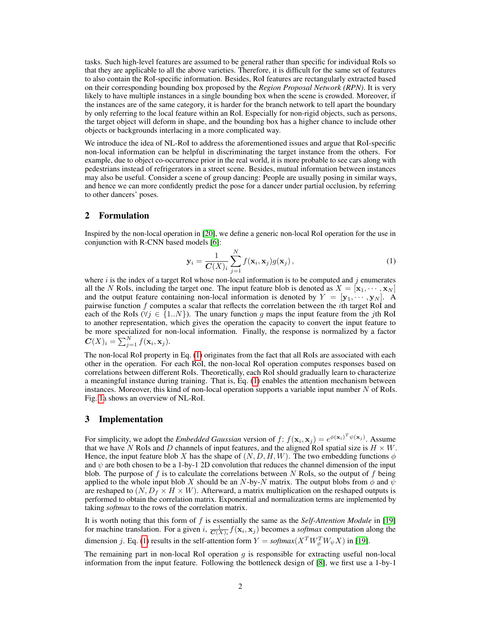tasks. Such high-level features are assumed to be general rather than specific for individual RoIs so that they are applicable to all the above varieties. Therefore, it is difficult for the same set of features to also contain the RoI-specific information. Besides, RoI features are rectangularly extracted based on their corresponding bounding box proposed by the *Region Proposal Network (RPN)*. It is very likely to have multiple instances in a single bounding box when the scene is crowded. Moreover, if the instances are of the same category, it is harder for the branch network to tell apart the boundary by only referring to the local feature within an RoI. Especially for non-rigid objects, such as persons, the target object will deform in shape, and the bounding box has a higher chance to include other objects or backgrounds interlacing in a more complicated way.

We introduce the idea of NL-RoI to address the aforementioned issues and argue that RoI-specific non-local information can be helpful in discriminating the target instance from the others. For example, due to object co-occurrence prior in the real world, it is more probable to see cars along with pedestrians instead of refrigerators in a street scene. Besides, mutual information between instances may also be useful. Consider a scene of group dancing: People are usually posing in similar ways, and hence we can more confidently predict the pose for a dancer under partial occlusion, by referring to other dancers' poses.

### 2 Formulation

Inspired by the non-local operation in [\[20\]](#page-5-0), we define a generic non-local RoI operation for the use in conjunction with R-CNN based models [\[6\]](#page-4-13):

<span id="page-1-0"></span>
$$
\mathbf{y}_i = \frac{1}{C(X)_i} \sum_{j=1}^N f(\mathbf{x}_i, \mathbf{x}_j) g(\mathbf{x}_j), \qquad (1)
$$

where  $i$  is the index of a target RoI whose non-local information is to be computed and  $j$  enumerates all the N RoIs, including the target one. The input feature blob is denoted as  $X = [\mathbf{x}_1, \dots, \mathbf{x}_N]$ and the output feature containing non-local information is denoted by  $Y = [\mathbf{y}_1, \cdots, \mathbf{y}_N]$ . A pairwise function  $f$  computes a scalar that reflects the correlation between the *i*th target RoI and each of the RoIs ( $\forall j \in \{1..N\}$ ). The unary function g maps the input feature from the jth RoI to another representation, which gives the operation the capacity to convert the input feature to be more specialized for non-local information. Finally, the response is normalized by a factor  $\mathbf{C}(X)_i = \sum_{j=1}^N f(\mathbf{x}_i, \mathbf{x}_j).$ 

The non-local RoI property in Eq. [\(1\)](#page-1-0) originates from the fact that all RoIs are associated with each other in the operation. For each RoI, the non-local RoI operation computes responses based on correlations between different RoIs. Theoretically, each RoI should gradually learn to characterize a meaningful instance during training. That is, Eq. [\(1\)](#page-1-0) enables the attention mechanism between instances. Moreover, this kind of non-local operation supports a variable input number  $N$  of RoIs. Fig. [1a](#page-2-0) shows an overview of NL-RoI.

### 3 Implementation

For simplicity, we adopt the *Embedded Gaussian* version of  $f: f(\mathbf{x}_i, \mathbf{x}_j) = e^{\phi(\mathbf{x}_i)^T \psi(\mathbf{x}_j)}$ . Assume that we have N RoIs and D channels of input features, and the aligned RoI spatial size is  $H \times W$ . Hence, the input feature blob X has the shape of  $(N, D, H, W)$ . The two embedding functions  $\phi$ and  $\psi$  are both chosen to be a 1-by-1 2D convolution that reduces the channel dimension of the input blob. The purpose of f is to calculate the correlations between  $N$  RoIs, so the output of f being applied to the whole input blob X should be an N-by-N matrix. The output blobs from  $\phi$  and  $\psi$ are reshaped to  $(N, D_f \times H \times W)$ . Afterward, a matrix multiplication on the reshaped outputs is performed to obtain the correlation matrix. Exponential and normalization terms are implemented by taking *softmax* to the rows of the correlation matrix.

It is worth noting that this form of f is essentially the same as the *Self-Attention Module* in [\[19\]](#page-5-1) for machine translation. For a given i,  $\frac{1}{C(X)_i} f(\mathbf{x}_i, \mathbf{x}_j)$  becomes a *softmax* computation along the dimension *j*. Eq. [\(1\)](#page-1-0) results in the self-attention form  $Y = \text{softmax}(X^T W_{\phi}^T W_{\psi} X)$  in [\[19\]](#page-5-1).

The remaining part in non-local RoI operation  $g$  is responsible for extracting useful non-local information from the input feature. Following the bottleneck design of [\[8\]](#page-4-14), we first use a 1-by-1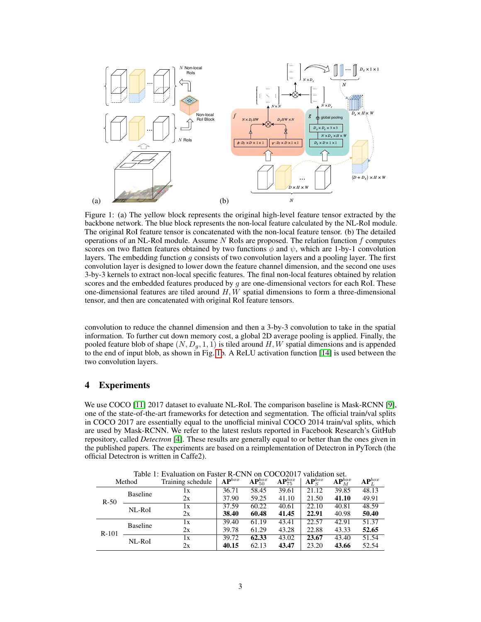

<span id="page-2-0"></span>Figure 1: (a) The yellow block represents the original high-level feature tensor extracted by the backbone network. The blue block represents the non-local feature calculated by the NL-RoI module. The original RoI feature tensor is concatenated with the non-local feature tensor. (b) The detailed operations of an NL-RoI module. Assume  $N$  RoIs are proposed. The relation function  $f$  computes scores on two flatten features obtained by two functions  $\phi$  and  $\psi$ , which are 1-by-1 convolution layers. The embedding function  $g$  consists of two convolution layers and a pooling layer. The first convolution layer is designed to lower down the feature channel dimension, and the second one uses 3-by-3 kernels to extract non-local specific features. The final non-local features obtained by relation scores and the embedded features produced by  $q$  are one-dimensional vectors for each RoI. These one-dimensional features are tiled around  $H, W$  spatial dimensions to form a three-dimensional tensor, and then are concatenated with original RoI feature tensors.

convolution to reduce the channel dimension and then a 3-by-3 convolution to take in the spatial information. To further cut down memory cost, a global 2D average pooling is applied. Finally, the pooled feature blob of shape  $(N, D_g, 1, 1)$  is tiled around H, W spatial dimensions and is appended to the end of input blob, as shown in Fig. [1b](#page-2-0). A ReLU activation function [\[14\]](#page-4-15) is used between the two convolution layers.

## 4 Experiments

We use COCO [\[11\]](#page-4-16) 2017 dataset to evaluate NL-RoI. The comparison baseline is Mask-RCNN [\[9\]](#page-4-11), one of the state-of-the-art frameworks for detection and segmentation. The official train/val splits in COCO 2017 are essentially equal to the unofficial minival COCO 2014 train/val splits, which are used by Mask-RCNN. We refer to the latest resluts reported in Facebook Research's GitHub repository, called *Detectron* [\[4\]](#page-4-17). These results are generally equal to or better than the ones given in the published papers. The experiments are based on a reimplementation of Detectron in PyTorch (the official Detectron is written in Caffe2).

<span id="page-2-1"></span>

| Table 1. Evaluation on Faster R-Civis on COCOZ017<br>Method |                 | Training schedule | $AP^{box}$ | $\mathbf{AP}_{50}^{box}$ | $\mathbf{AP}_{75}^{box}$ | $AP_S^{box}$ | $AP_M^{box}$ | $\mathbf{AP}^{box}_L$ |
|-------------------------------------------------------------|-----------------|-------------------|------------|--------------------------|--------------------------|--------------|--------------|-----------------------|
| $R-50$                                                      | <b>Baseline</b> | lх                | 36.71      | 58.45                    | 39.61                    | 21.12        | 39.85        | 48.13                 |
|                                                             |                 | 2x                | 37.90      | 59.25                    | 41.10                    | 21.50        | 41.10        | 49.91                 |
|                                                             | NL-RoI          | 1x                | 37.59      | 60.22                    | $\overline{40.61}$       | 22.10        | 40.81        | 48.59                 |
|                                                             |                 | 2x                | 38.40      | 60.48                    | 41.45                    | 22.91        | 40.98        | 50.40                 |
| $R-101$                                                     | <b>Baseline</b> | 1x                | 39.40      | 61.19                    | 43.41                    | 22.57        | 42.91        | 51.37                 |
|                                                             |                 | 2x                | 39.78      | 61.29                    | 43.28                    | 22.88        | 43.33        | 52.65                 |
|                                                             | NL-RoI          | 1x                | 39.72      | 62.33                    | 43.02                    | 23.67        | 43.40        | 51.54                 |
|                                                             |                 | 2x                | 40.15      | 62.13                    | 43.47                    | 23.20        | 43.66        | 52.54                 |

Table 1: Evaluation on Faster R-CNN on COCO2017 validation set.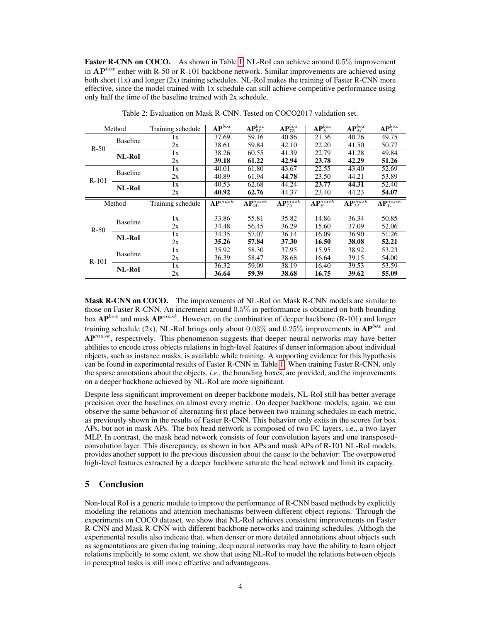Faster R-CNN on COCO. As shown in Table [1,](#page-2-1) NL-RoI can achieve around 0.5% improvement in  $AP^{box}$  either with R-50 or R-101 backbone network. Similar improvements are achieved using both short (1x) and longer (2x) training schedules. NL-RoI makes the training of Faster R-CNN more effective, since the model trained with 1x schedule can still achieve competitive performance using only half the time of the baseline trained with 2x schedule.

| Method  |                 | Training schedule | $AP^{box}$                               | $\mathbf{AP}_{50}^{box}$           | $AP_{75}^{box}$                    | $\mathbf{AP}^{box}_S$               | $\mathbf{AP}^{box}_M$               | $\mathbf{AP}^{box}_L$               |
|---------|-----------------|-------------------|------------------------------------------|------------------------------------|------------------------------------|-------------------------------------|-------------------------------------|-------------------------------------|
| $R-50$  | <b>Baseline</b> | lх                | 37.69                                    | 59.16                              | 40.86                              | 21.36                               | 40.76                               | 49.75                               |
|         |                 | 2x                | 38.61                                    | 59.84                              | 42.10                              | 22.20                               | 41.50                               | 50.77                               |
|         | <b>NL-RoI</b>   | $\overline{1x}$   | 38.26                                    | 60.55                              | 41.39                              | 22.79                               | 41.28                               | 49.84                               |
|         |                 | 2x                | 39.18                                    | 61.22                              | 42.94                              | 23.78                               | 42.29                               | 51.26                               |
| $R-101$ | <b>Baseline</b> | 1x                | 40.01                                    | 61.80                              | 43.67                              | 22.55                               | 43.40                               | 52.69                               |
|         |                 | 2x                | 40.89                                    | 61.94                              | 44.78                              | 23.50                               | 44.21                               | 53.89                               |
|         | NL-RoI          | 1x                | 40.53                                    | 62.68                              | 44.24                              | 23.77                               | 44.31                               | 52.40                               |
|         |                 | 2x                | 40.92                                    | 62.76                              | 44.37                              | 23.40                               | 44.23                               | 54.07                               |
| Method  |                 |                   |                                          |                                    |                                    |                                     |                                     |                                     |
|         |                 | Training schedule | $\mathbf{A}\overline{\mathbf{P}^{mask}}$ | $\overline{\text{AP}_{50}^{mask}}$ | $\overline{\text{AP}_{75}^{mask}}$ | $\overline{\mathbf{AP}^{mask}_{S}}$ | $\overline{\mathbf{AP}^{mask}_{M}}$ | $\overline{\mathbf{AP}^{mask}_{L}}$ |
|         |                 | 1x                | 33.86                                    | 55.81                              | 35.82                              | 14.86                               | 36.34                               | 50.85                               |
|         | <b>Baseline</b> | 2x                | 34.48                                    | 56.45                              | 36.29                              | 15.60                               | 37.09                               | 52.06                               |
| $R-50$  |                 | 1x                | 34.35                                    | 57.07                              | 36.14                              | 16.09                               | 36.90                               | 51.26                               |
|         | NL-RoI          | 2x                | 35.26                                    | 57.84                              | 37.30                              | 16.50                               | 38.08                               | 52.21                               |
|         |                 | 1x                | 35.92                                    | 58.30                              | 37.95                              | 15.95                               | 38.92                               | 53.23                               |
|         | <b>Baseline</b> | 2x                | 36.39                                    | 58.47                              | 38.68                              | 16.64                               | 39.15                               | 54.00                               |
| $R-101$ | <b>NL-RoI</b>   | 1x                | 36.32                                    | 59.09                              | 38.19                              | 16.40                               | 39.53                               | 53.59                               |

Table 2: Evaluation on Mask R-CNN. Tested on COCO2017 validation set.

Mask R-CNN on COCO. The improvements of NL-RoI on Mask R-CNN models are similar to those on Faster R-CNN. An increment around 0.5% in performance is obtained on both bounding box  $AP^{box}$  and mask  $AP^{mask}$ . However, on the combination of deeper backbone (R-101) and longer training schedule (2x), NL-RoI brings only about 0.03% and 0.25% improvements in  $AP^{box}$  and  $AP^{mask}$ , respectively. This phenomenon suggests that deeper neural networks may have better abilities to encode cross objects relations in high-level features if denser information about individual objects, such as instance masks, is available while training. A supporting evidence for this hypothesis can be found in experimental results of Faster R-CNN in Table [1.](#page-2-1) When training Faster R-CNN, only the sparse annotations about the objects, *i.e*., the bounding boxes, are provided, and the improvements on a deeper backbone achieved by NL-RoI are more significant.

Despite less significant improvement on deeper backbone models, NL-RoI still has better average precision over the baselines on almost every metric. On deeper backbone models, again, we can observe the same behavior of alternating first place between two training schedules in each metric, as previously shown in the results of Faster R-CNN. This behavior only exits in the scores for box APs, but not in mask APs. The box head network is composed of two FC layers, i.e., a two-layer MLP. In contrast, the mask head network consists of four convolution layers and one transposedconvolution layer. This discrepancy, as shown in box APs and mask APs of R-101 NL-RoI models, provides another support to the previous discussion about the cause to the behavior: The overpowered high-level features extracted by a deeper backbone saturate the head network and limit its capacity.

## 5 Conclusion

Non-local RoI is a generic module to improve the performance of R-CNN based methods by explicitly modeling the relations and attention mechanisms between different object regions. Through the experiments on COCO dataset, we show that NL-RoI achieves consistent improvements on Faster R-CNN and Mask R-CNN with different backbone networks and training schedules. Althogh the experimental results also indicate that, when denser or more detailed annotations about objects such as segmentations are given during training, deep neural networks may have the ability to learn object relations implicitly to some extent, we show that using NL-RoI to model the relations between objects in perceptual tasks is still more effective and advantageous.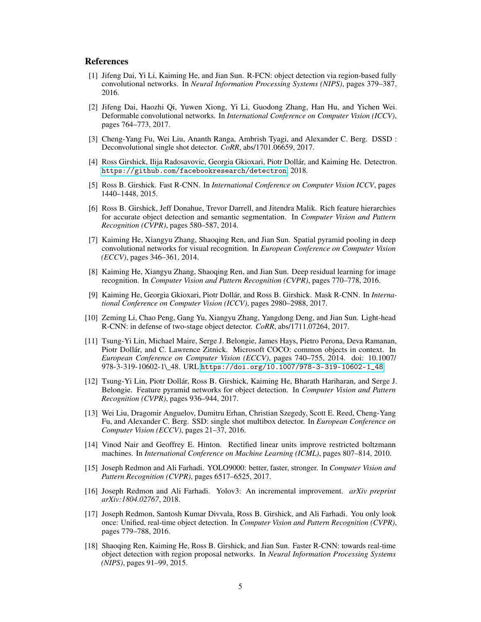## References

- <span id="page-4-7"></span>[1] Jifeng Dai, Yi Li, Kaiming He, and Jian Sun. R-FCN: object detection via region-based fully convolutional networks. In *Neural Information Processing Systems (NIPS)*, pages 379–387, 2016.
- <span id="page-4-8"></span>[2] Jifeng Dai, Haozhi Qi, Yuwen Xiong, Yi Li, Guodong Zhang, Han Hu, and Yichen Wei. Deformable convolutional networks. In *International Conference on Computer Vision (ICCV)*, pages 764–773, 2017.
- <span id="page-4-3"></span>[3] Cheng-Yang Fu, Wei Liu, Ananth Ranga, Ambrish Tyagi, and Alexander C. Berg. DSSD : Deconvolutional single shot detector. *CoRR*, abs/1701.06659, 2017.
- <span id="page-4-17"></span>[4] Ross Girshick, Ilija Radosavovic, Georgia Gkioxari, Piotr Dollár, and Kaiming He. Detectron. <https://github.com/facebookresearch/detectron>, 2018.
- <span id="page-4-9"></span>[5] Ross B. Girshick. Fast R-CNN. In *International Conference on Computer Vision ICCV*, pages 1440–1448, 2015.
- <span id="page-4-13"></span>[6] Ross B. Girshick, Jeff Donahue, Trevor Darrell, and Jitendra Malik. Rich feature hierarchies for accurate object detection and semantic segmentation. In *Computer Vision and Pattern Recognition (CVPR)*, pages 580–587, 2014.
- <span id="page-4-10"></span>[7] Kaiming He, Xiangyu Zhang, Shaoqing Ren, and Jian Sun. Spatial pyramid pooling in deep convolutional networks for visual recognition. In *European Conference on Computer Vision (ECCV)*, pages 346–361, 2014.
- <span id="page-4-14"></span>[8] Kaiming He, Xiangyu Zhang, Shaoqing Ren, and Jian Sun. Deep residual learning for image recognition. In *Computer Vision and Pattern Recognition (CVPR)*, pages 770–778, 2016.
- <span id="page-4-11"></span>[9] Kaiming He, Georgia Gkioxari, Piotr Dollár, and Ross B. Girshick. Mask R-CNN. In *International Conference on Computer Vision (ICCV)*, pages 2980–2988, 2017.
- <span id="page-4-6"></span>[10] Zeming Li, Chao Peng, Gang Yu, Xiangyu Zhang, Yangdong Deng, and Jian Sun. Light-head R-CNN: in defense of two-stage object detector. *CoRR*, abs/1711.07264, 2017.
- <span id="page-4-16"></span>[11] Tsung-Yi Lin, Michael Maire, Serge J. Belongie, James Hays, Pietro Perona, Deva Ramanan, Piotr Dollár, and C. Lawrence Zitnick. Microsoft COCO: common objects in context. In *European Conference on Computer Vision (ECCV)*, pages 740–755, 2014. doi: 10.1007/ 978-3-319-10602-1\\_48. URL [https://doi.org/10.1007/978-3-319-10602-1\\_48](https://doi.org/10.1007/978-3-319-10602-1_48).
- <span id="page-4-12"></span>[12] Tsung-Yi Lin, Piotr Dollár, Ross B. Girshick, Kaiming He, Bharath Hariharan, and Serge J. Belongie. Feature pyramid networks for object detection. In *Computer Vision and Pattern Recognition (CVPR)*, pages 936–944, 2017.
- <span id="page-4-4"></span>[13] Wei Liu, Dragomir Anguelov, Dumitru Erhan, Christian Szegedy, Scott E. Reed, Cheng-Yang Fu, and Alexander C. Berg. SSD: single shot multibox detector. In *European Conference on Computer Vision (ECCV)*, pages 21–37, 2016.
- <span id="page-4-15"></span>[14] Vinod Nair and Geoffrey E. Hinton. Rectified linear units improve restricted boltzmann machines. In *International Conference on Machine Learning (ICML)*, pages 807–814, 2010.
- <span id="page-4-0"></span>[15] Joseph Redmon and Ali Farhadi. YOLO9000: better, faster, stronger. In *Computer Vision and Pattern Recognition (CVPR)*, pages 6517–6525, 2017.
- <span id="page-4-1"></span>[16] Joseph Redmon and Ali Farhadi. Yolov3: An incremental improvement. *arXiv preprint arXiv:1804.02767*, 2018.
- <span id="page-4-2"></span>[17] Joseph Redmon, Santosh Kumar Divvala, Ross B. Girshick, and Ali Farhadi. You only look once: Unified, real-time object detection. In *Computer Vision and Pattern Recognition (CVPR)*, pages 779–788, 2016.
- <span id="page-4-5"></span>[18] Shaoqing Ren, Kaiming He, Ross B. Girshick, and Jian Sun. Faster R-CNN: towards real-time object detection with region proposal networks. In *Neural Information Processing Systems (NIPS)*, pages 91–99, 2015.